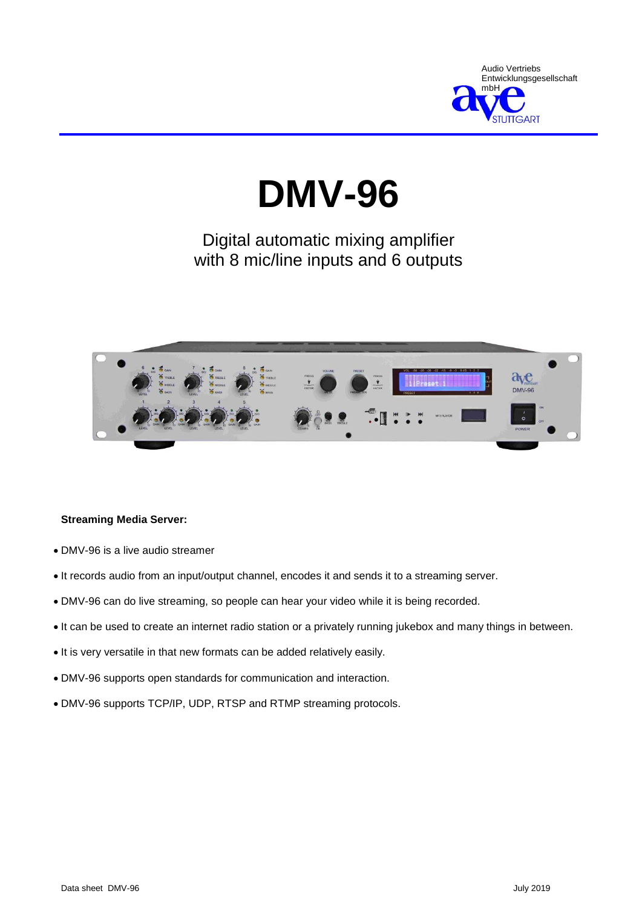

# **DMV-96**

## Digital automatic mixing amplifier with 8 mic/line inputs and 6 outputs



#### **Streaming Media Server:**

- DMV-96 is a live audio streamer
- It records audio from an input/output channel, encodes it and sends it to a streaming server.
- DMV-96 can do live streaming, so people can hear your video while it is being recorded.
- It can be used to create an internet radio station or a privately running jukebox and many things in between.
- $\bullet$  It is very versatile in that new formats can be added relatively easily.
- DMV-96 supports open standards for communication and interaction.
- DMV-96 supports TCP/IP, UDP, RTSP and RTMP streaming protocols.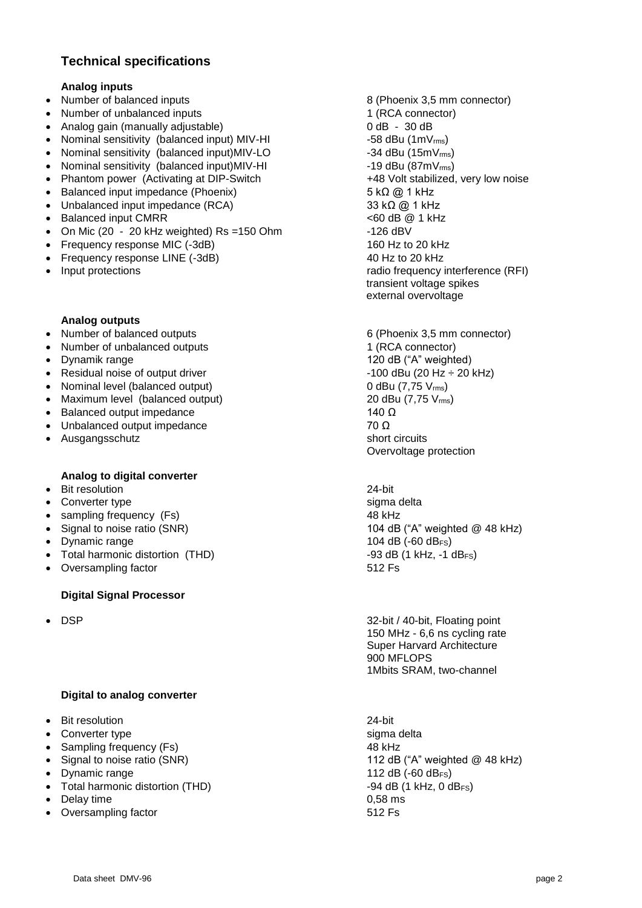### **Technical specifications**

#### **Analog inputs**

- Number of balanced inputs 8 (Phoenix 3,5 mm connector)
- Number of unbalanced inputs 1 (RCA connector)
- Analog gain (manually adjustable) 0 dB 30 dB
- Nominal sensitivity (balanced input) MIV-HI  $-58$  dBu (1mV<sub>rms</sub>)
- Nominal sensitivity (balanced input)MIV-LO -34 dBu (15mV<sub>rms</sub>)
- Nominal sensitivity (balanced input)MIV-HI  $\sim$  -19 dBu (87mV<sub>rms</sub>)
- Phantom power (Activating at DIP-Switch  $+48$  Volt stabilized, very low noise
- Balanced input impedance (Phoenix) 5 kΩ @ 1 kHz
- Unbalanced input impedance (RCA) 33 kΩ  $@1$  kHz
- Balanced input CMRR <60 dB @ 1 kHz
- On Mic  $(20 20 \text{ kHz} \text{ weighted})$  Rs =150 Ohm  $-126 \text{ dBV}$
- Frequency response MIC (-3dB) 160 Hz to 20 kHz
- Frequency response LINE (-3dB) 40 Hz to 20 kHz
- 

#### **Analog outputs**

- Number of balanced outputs 6 (Phoenix 3,5 mm connector)
- Number of unbalanced outputs 1 (RCA connector)
- 
- Residual noise of output driver  $\overline{10}$  = 100 dBu (20 Hz  $\div$  20 kHz)
- Nominal level (balanced output)  $0$  dBu (7,75  $V_{\text{rms}}$ )
- Maximum level (balanced output)  $20$  dBu (7,75  $V_{\text{rms}}$ )
- $\bullet$  Balanced output impedance 140 Ω
- Unbalanced output impedance  $\overline{70 \Omega}$
- Ausgangsschutz short circuits short circuits

#### **Analog to digital converter**

- Bit resolution 24-bit
- Converter type sigma delta
- sampling frequency (Fs) 48 kHz
- 
- Dynamic range  $104 \text{ dB}$  (-60 dB<sub>FS</sub>)
- Total harmonic distortion (THD) -93 dB (1 kHz, -1 dB<sub>FS</sub>)
- Oversampling factor 512 Fs

#### **Digital Signal Processor**

#### **Digital to analog converter**

- Bit resolution 24-bit
- Converter type sigma delta
- Sampling frequency (Fs) 48 kHz
- 
- 
- Total harmonic distortion (THD)  $-94$  dB (1 kHz, 0 dB<sub>FS</sub>)
- $\bullet$  Delay time  $0.58 \text{ ms}$
- Oversampling factor **512 Fs**

 Input protections radio frequency interference (RFI) transient voltage spikes external overvoltage

• Dynamik range 120 dB ("A" weighted) Overvoltage protection

• Signal to noise ratio (SNR) 104 dB ("A" weighted @ 48 kHz)

 DSP 32-bit / 40-bit, Floating point 150 MHz - 6,6 ns cycling rate Super Harvard Architecture 900 MFLOPS 1Mbits SRAM, two-channel

• Signal to noise ratio (SNR) 112 dB ("A" weighted @ 48 kHz) Dynamic range 112 dB (-60 dBFS)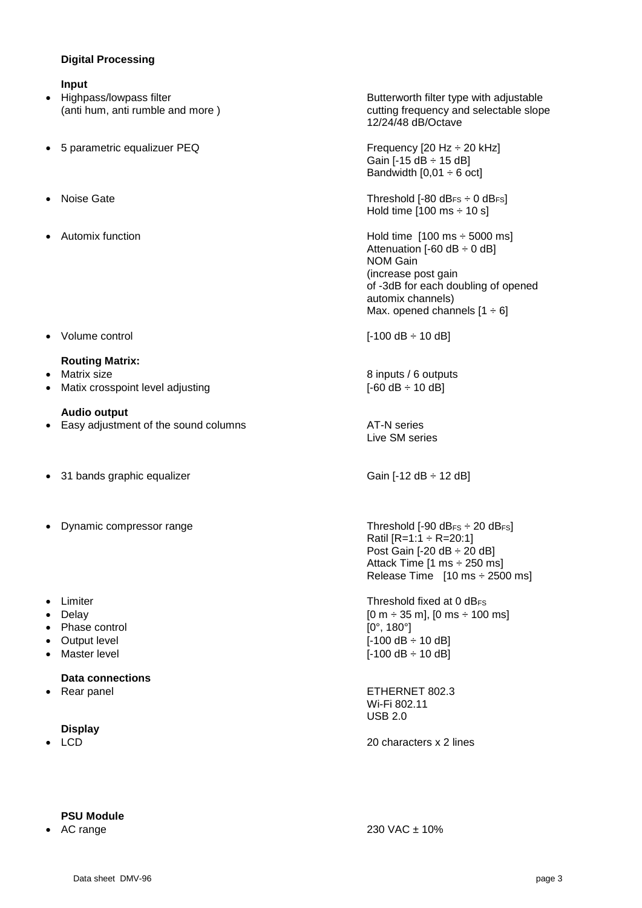#### **Digital Processing**

#### **Input**

- 
- 5 parametric equalizuer PEQ Frequency [20 Hz ÷ 20 kHz]
- 
- 
- Volume control [-100 dB ÷ 10 dB]

#### **Routing Matrix:**

- 
- Matix crosspoint level adjusting  $[-60 \text{ dB} \div 10 \text{ dB}]$

#### **Audio output**

- Easy adjustment of the sound columns **AT-N** series
- 31 bands graphic equalizer  $\overline{S}$  Gain [-12 dB  $\div$  12 dB]
- Dynamic compressor range Threshold [-90 dB<sub>FS</sub> ÷ 20 dB<sub>FS</sub>]
- 
- 
- Phase control  $[0^{\circ}, 180^{\circ}]$
- 
- 

#### **Data connections**

#### **Display**

• Highpass/lowpass filter **Butter and Strates and Strates Highpass** Butterworth filter type with adjustable (anti hum, anti rumble and more ) cutting frequency and selectable slope 12/24/48 dB/Octave

> Gain  $[-15$  dB  $\div$  15 dB] Bandwidth  $[0,01 \div 6$  oct]

● Noise Gate Threshold [-80 dB<sub>FS</sub> ÷ 0 dB<sub>FS</sub>] Hold time  $[100 \text{ ms} \div 10 \text{ s}]$ 

Automix function **Automix** function **Hold time** [100 ms ÷ 5000 ms] Attenuation  $[-60$  dB  $\div$  0 dB] NOM Gain (increase post gain of -3dB for each doubling of opened automix channels) Max. opened channels  $[1 \div 6]$ 

Matrix size **8** inputs / 6 outputs **8** inputs / 6 outputs

Live SM series

Ratil  $[R=1:1 \div R=20:1]$ Post Gain [-20 dB ÷ 20 dB] Attack Time [1 ms ÷ 250 ms] Release Time [10 ms ÷ 2500 ms]

• Limiter **Threshold fixed at 0 dB<sub>FS</sub>** Delay  $[0 \text{ m } \div 35 \text{ m}]$ ,  $[0 \text{ m } \div 100 \text{ ms}]$ Output level **COULD COULD EXECUTE COULD COULD EXECUTE COULD E** [-100 dB ÷ 10 dB] Master level  $[-100 \text{ dB} \div 10 \text{ dB}]$ 

 Rear panel ETHERNET 802.3 Wi-Fi 802.11 USB 2.0

• LCD 20 characters x 2 lines

#### **PSU Module**